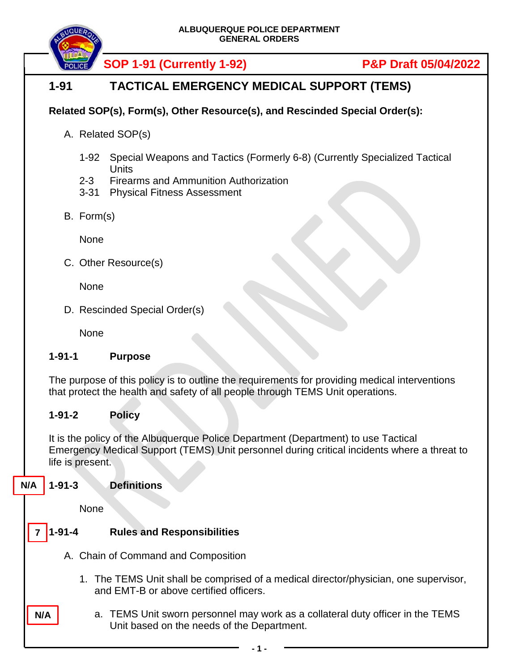

# **1-91 TACTICAL EMERGENCY MEDICAL SUPPORT (TEMS)**

## **Related SOP(s), Form(s), Other Resource(s), and Rescinded Special Order(s):**

- A. Related SOP(s)
	- 1-92 Special Weapons and Tactics (Formerly 6-8) (Currently Specialized Tactical **Units**
	- 2-3 Firearms and Ammunition Authorization
	- 3-31 Physical Fitness Assessment
- B. Form(s)

None

C. Other Resource(s)

None

D. Rescinded Special Order(s)

None

### **1-91-1 Purpose**

The purpose of this policy is to outline the requirements for providing medical interventions that protect the health and safety of all people through TEMS Unit operations.

### **1-91-2 Policy**

It is the policy of the Albuquerque Police Department (Department) to use Tactical Emergency Medical Support (TEMS) Unit personnel during critical incidents where a threat to life is present.

#### **1-91-3 Definitions N/A**

None

**N/A**

- **1-91-4 Rules and Responsibilities 7**
	- A. Chain of Command and Composition
		- 1. The TEMS Unit shall be comprised of a medical director/physician, one supervisor, and EMT-B or above certified officers.
		- a. TEMS Unit sworn personnel may work as a collateral duty officer in the TEMS Unit based on the needs of the Department.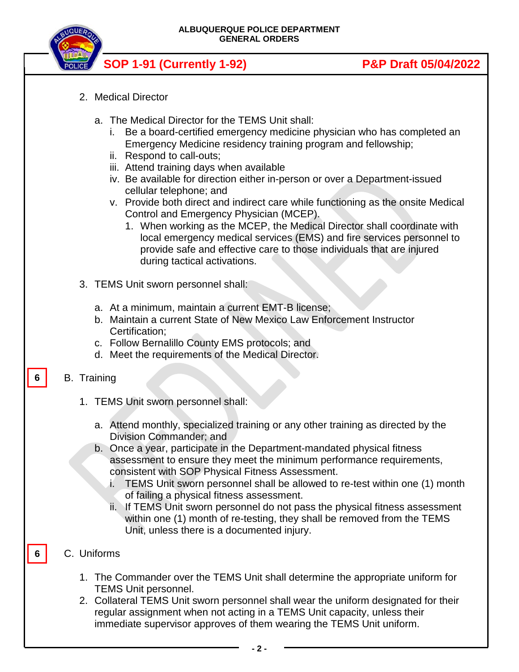**ALBUQUERQUE POLICE DEPARTMENT GENERAL ORDERS**



# **SOP 1-91 (Currently 1-92) P&P Draft 05/04/2022**

- 2. Medical Director
	- a. The Medical Director for the TEMS Unit shall:
		- i. Be a board-certified emergency medicine physician who has completed an Emergency Medicine residency training program and fellowship;
		- ii. Respond to call-outs;
		- iii. Attend training days when available
		- iv. Be available for direction either in-person or over a Department-issued cellular telephone; and
		- v. Provide both direct and indirect care while functioning as the onsite Medical Control and Emergency Physician (MCEP).
			- 1. When working as the MCEP, the Medical Director shall coordinate with local emergency medical services (EMS) and fire services personnel to provide safe and effective care to those individuals that are injured during tactical activations.
- 3. TEMS Unit sworn personnel shall:
	- a. At a minimum, maintain a current EMT-B license;
	- b. Maintain a current State of New Mexico Law Enforcement Instructor Certification;
	- c. Follow Bernalillo County EMS protocols; and
	- d. Meet the requirements of the Medical Director.

#### B. Training **6**

- 1. TEMS Unit sworn personnel shall:
	- a. Attend monthly, specialized training or any other training as directed by the Division Commander; and
	- b. Once a year, participate in the Department-mandated physical fitness assessment to ensure they meet the minimum performance requirements, consistent with SOP Physical Fitness Assessment.
		- i. TEMS Unit sworn personnel shall be allowed to re-test within one (1) month of failing a physical fitness assessment.
		- ii. If TEMS Unit sworn personnel do not pass the physical fitness assessment within one (1) month of re-testing, they shall be removed from the TEMS Unit, unless there is a documented injury.

### C. Uniforms

**6**

- 1. The Commander over the TEMS Unit shall determine the appropriate uniform for TEMS Unit personnel.
- 2. Collateral TEMS Unit sworn personnel shall wear the uniform designated for their regular assignment when not acting in a TEMS Unit capacity, unless their immediate supervisor approves of them wearing the TEMS Unit uniform.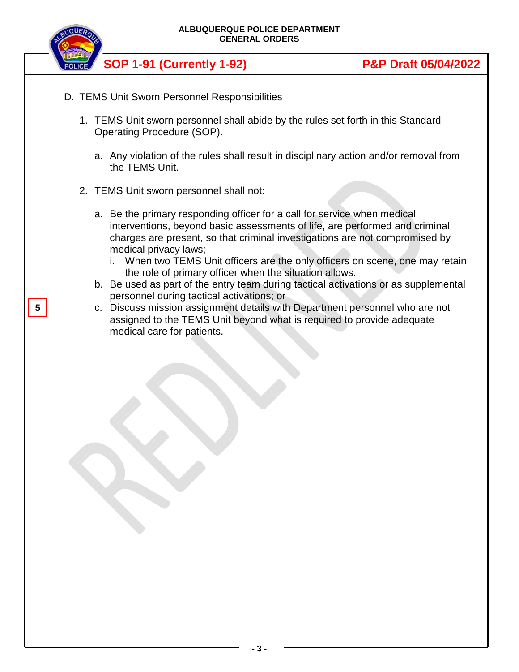

- D. TEMS Unit Sworn Personnel Responsibilities
	- 1. TEMS Unit sworn personnel shall abide by the rules set forth in this Standard Operating Procedure (SOP).
		- a. Any violation of the rules shall result in disciplinary action and/or removal from the TEMS Unit.
	- 2. TEMS Unit sworn personnel shall not:
		- a. Be the primary responding officer for a call for service when medical interventions, beyond basic assessments of life, are performed and criminal charges are present, so that criminal investigations are not compromised by medical privacy laws;
			- i. When two TEMS Unit officers are the only officers on scene, one may retain the role of primary officer when the situation allows.
		- b. Be used as part of the entry team during tactical activations or as supplemental personnel during tactical activations; or
		- c. Discuss mission assignment details with Department personnel who are not assigned to the TEMS Unit beyond what is required to provide adequate medical care for patients.

**5**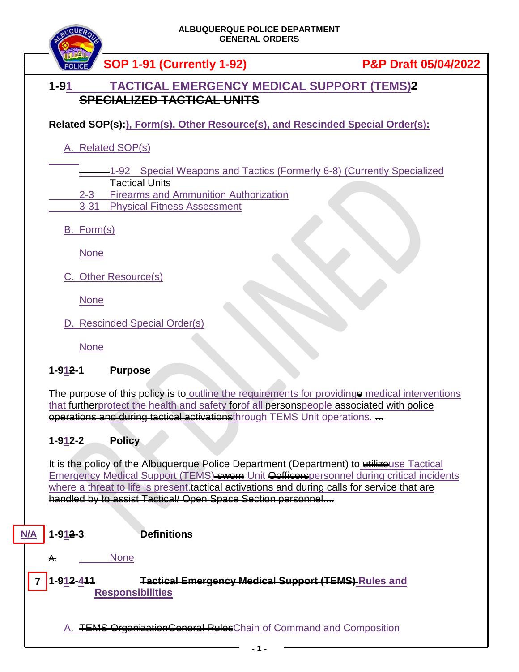## **1-91 TACTICAL EMERGENCY MEDICAL SUPPORT (TEMS)2 SPECIALIZED TACTICAL UNITS**

**Related SOP(s):**, Form(s), Other Resource(s), and Rescinded Special Order(s):

A. Related SOP(s)

1-92 Special Weapons and Tactics (Formerly 6-8) (Currently Specialized

Tactical Units

2-3 Firearms and Ammunition Authorization

3-31 Physical Fitness Assessment

B. Form(s)

None

C. Other Resource(s)

None

D. Rescinded Special Order(s)

None

### **1-912-1 Purpose**

The purpose of this policy is to outline the requirements for providinge medical interventions that furtherprotect the health and safety for of all personspeople associated with police operations and during tactical activationsthrough TEMS Unit operations. ...

## **1-912-2 Policy**

It is the policy of the Albuquerque Police Department (Department) to utilizeuse Tactical Emergency Medical Support (TEMS) sworn Unit Oofficerspersonnel during critical incidents where a threat to life is present.tactical activations and during calls for service that are handled by to assist Tactical/ Open Space Section personnel....

#### **1-912-3 Definitions N/A**

**None** 

**1-912-411 Tactical Emergency Medical Support (TEMS) Rules and Responsibilities 7**

A. **TEMS OrganizationGeneral Rules**Chain of Command and Composition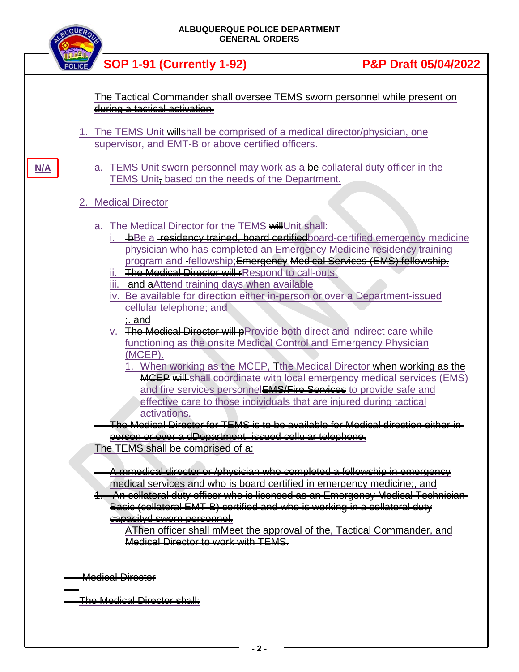| <b>INQUE</b> |  | ALBUQUERQUE POLICE DEPARTMENT<br><b>GENERAL ORDERS</b>                                                                                                                                                                                                                                                                                                                                                                                                                                                                                                                                                                                                                                    |                                 |  |
|--------------|--|-------------------------------------------------------------------------------------------------------------------------------------------------------------------------------------------------------------------------------------------------------------------------------------------------------------------------------------------------------------------------------------------------------------------------------------------------------------------------------------------------------------------------------------------------------------------------------------------------------------------------------------------------------------------------------------------|---------------------------------|--|
|              |  | <b>SOP 1-91 (Currently 1-92)</b>                                                                                                                                                                                                                                                                                                                                                                                                                                                                                                                                                                                                                                                          | <b>P&amp;P Draft 05/04/2022</b> |  |
|              |  | The Tactical Commander shall oversee TEMS sworn personnel while present on                                                                                                                                                                                                                                                                                                                                                                                                                                                                                                                                                                                                                |                                 |  |
|              |  | during a tactical activation.                                                                                                                                                                                                                                                                                                                                                                                                                                                                                                                                                                                                                                                             |                                 |  |
|              |  | 1. The TEMS Unit will shall be comprised of a medical director/physician, one<br>supervisor, and EMT-B or above certified officers.                                                                                                                                                                                                                                                                                                                                                                                                                                                                                                                                                       |                                 |  |
| N/A          |  | a. TEMS Unit sworn personnel may work as a be-collateral duty officer in the<br>TEMS Unit, based on the needs of the Department.                                                                                                                                                                                                                                                                                                                                                                                                                                                                                                                                                          |                                 |  |
|              |  | 2. Medical Director                                                                                                                                                                                                                                                                                                                                                                                                                                                                                                                                                                                                                                                                       |                                 |  |
|              |  | a. The Medical Director for the TEMS will Unit shall:<br>+Be a residency trained, board certified board-certified emergency medicine<br>physician who has completed an Emergency Medicine residency training<br>program and -fellowship; Emergency Medical Services (EMS) fellowship.<br>ii. The Medical Director will respond to call-outs;<br>iii. and aAttend training days when available<br>iv. Be available for direction either in-person or over a Department-issued<br>cellular telephone; and<br><del>;. and</del><br>v. The Medical Director will pProvide both direct and indirect care while<br>functioning as the onsite Medical Control and Emergency Physician<br>(MCEP). |                                 |  |
|              |  | 1. When working as the MCEP, Tthe Medical Director when working as the<br><b>MCEP will-shall coordinate with local emergency medical services (EMS)</b><br>and fire services personnelEMS/Fire Services to provide safe and<br>effective care to those individuals that are injured during tactical<br>activations.                                                                                                                                                                                                                                                                                                                                                                       |                                 |  |
|              |  | <u>The Medical Director for TEMS is to be available for Medical direction either in-</u><br>person or over a dDepartment-issued cellular telephone.                                                                                                                                                                                                                                                                                                                                                                                                                                                                                                                                       |                                 |  |
|              |  | The TEMS shall be comprised of a:<br>A mmedical director or /physician who completed a fellowship in emergency<br>medical services and who is board certified in emergency medicine;, and<br>An collatoral duty officer who is licensed as an Emergency Medical Technician-<br>Basic (collatoral EMT-B) cortified and who is working in a collatoral duty<br><del>capacityd sworn personnel.</del><br>AThen officer shall mMeet the approval of the, Tactical Commander, and<br><b>Medical Director to work with TEMS.</b>                                                                                                                                                                |                                 |  |
|              |  | <b>Medical Director</b>                                                                                                                                                                                                                                                                                                                                                                                                                                                                                                                                                                                                                                                                   |                                 |  |
|              |  | <del>The Medical Director shall:</del>                                                                                                                                                                                                                                                                                                                                                                                                                                                                                                                                                                                                                                                    |                                 |  |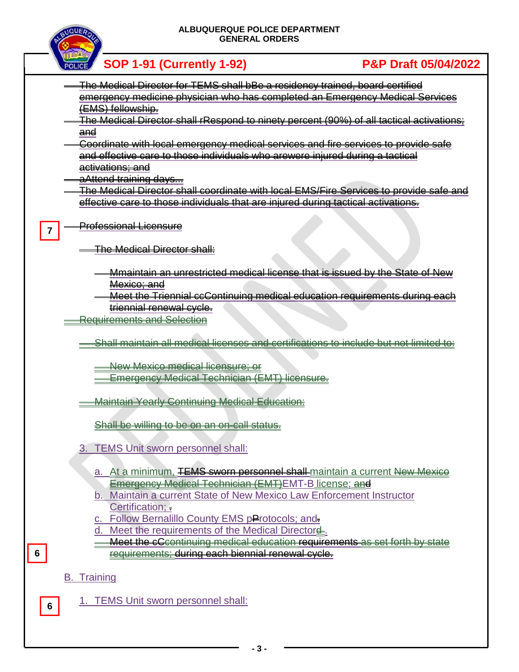#### **ALBUQUERQUE POLICE DEPARTMENT GENERAL ORDERS**



 **SOP 1-91 (Currently 1-92) P&P Draft 05/04/2022**

- The Medical Director for TEMS shall bBe a residency trained, board certified emergency medicine physician who has completed an Emergency Medical Services (EMS) fellowship.
- The Medical Director shall rRespond to ninety percent (90%) of all tactical activations; and
- Coordinate with local emergency medical services and fire services to provide safe and effective care to those individuals who arewere injured during a tactical activations; and
- aAttend training days...

The Medical Director shall coordinate with local EMS/Fire Services to provide safe and effective care to those individuals that are injured during tactical activations.

Professional Licensure **7**

The Medical Director shall:

- Mmaintain an unrestricted medical license that is issued by the State of New Mexico; and
- Meet the Triennial ccContinuing medical education requirements during each triennial renewal cycle.
- Requirements and Selection
	- Shall maintain all medical licenses and certifications to include but not limited to:

New Mexico medical licensure; or

- **Emergency Medical Technician (EMT) licensure.**
- **Maintain Yearly Continuing Medical Education:**

Shall be willing to be on an on-call status.

- 3. TEMS Unit sworn personnel shall:
	- a. At a minimum, TEMS sworn personnel shall maintain a current New Mexice Emergency Medical Technician (EMT)EMT-B license; and
	- b. Maintain a current State of New Mexico Law Enforcement Instructor Certification; .
	- c. Follow Bernalillo County EMS pProtocols; and
	- d. Meet the requirements of the Medical Directord.
	- Meet the cCcontinuing medical education requirements as set forth by state requirements; during each biennial renewal cycle.

### B. Training

**6**

1. TEMS Unit sworn personnel shall: **<sup>6</sup>**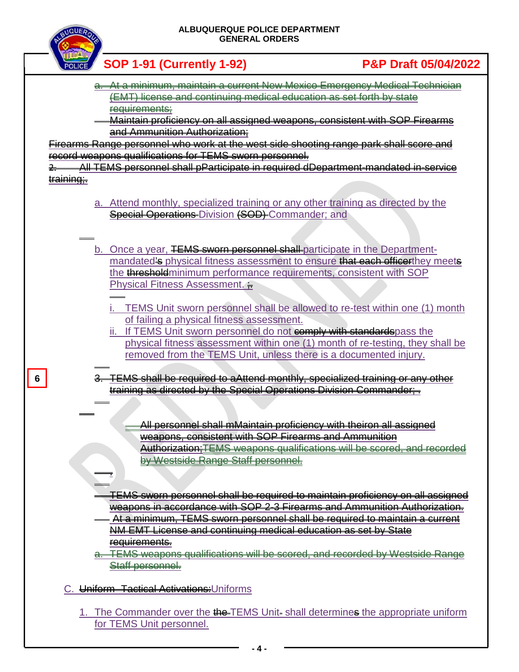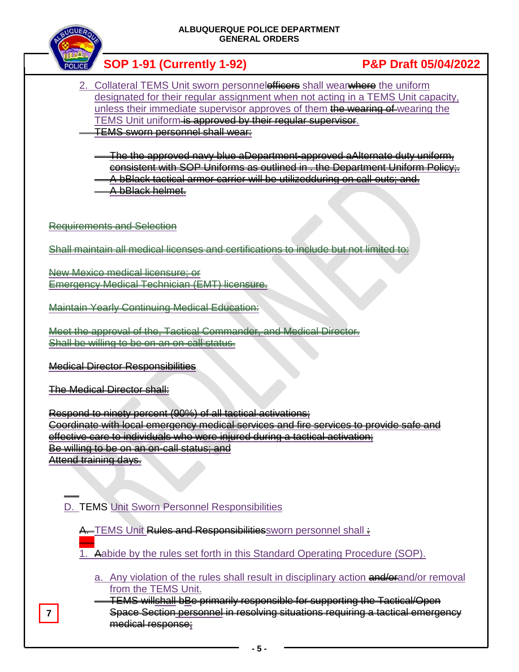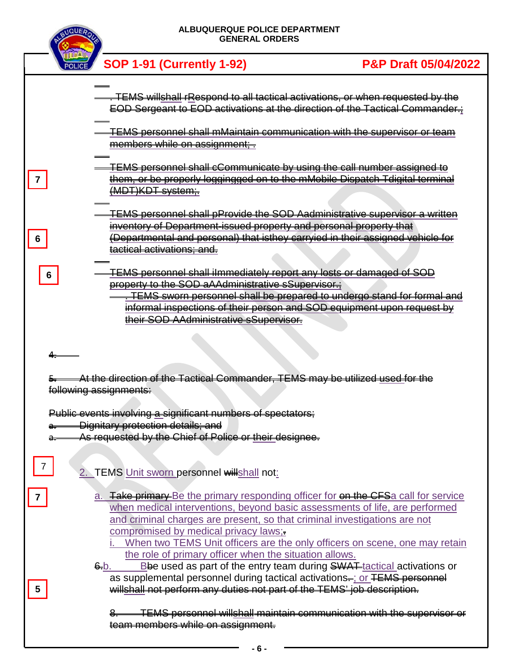

|   | POLICE SOP 1-91 (Currently 1-92)                                                                                                                                                                                                                                                                                                                                                                                                                                                    | <b>P&amp;P Draft 05/04/2022</b> |
|---|-------------------------------------------------------------------------------------------------------------------------------------------------------------------------------------------------------------------------------------------------------------------------------------------------------------------------------------------------------------------------------------------------------------------------------------------------------------------------------------|---------------------------------|
|   | TEMS willshall rRespond to all tactical activations, or when requested by the<br>EOD Sergeant to EOD activations at the direction of the Tactical Commander.;<br><u>TEMS personnel shall mMaintain communication with the supervisor or team</u><br>members while on assignment;-                                                                                                                                                                                                   |                                 |
| 6 | <b>TEMS personnel shall cCommunicate by using the call number assigned to</b><br>them, or be properly loggingged on to the mMobile Dispatch Tdigital terminal<br><del>(MDT)KDT system;.</del><br><b>TEMS personnel shall pProvide the SOD Aadministrative superviser a written</b><br>inventory of Department-issued property and personal property that<br>(Departmental and personal) that isthey carryied in their assigned vehicle for<br><del>tactical activations; and.</del> |                                 |
| 6 | <b>TEMS personnel shall ilmmediately report any losts or damaged of SOD</b><br>property to the SOD aAAdministrative sSupervisor.<br>. TEMS sworn personnel shall be prepared to undergo stand for formal and<br>informal inspections of their person and SOD equipment upon request by<br>their SOD AAdministrative sSupervisor.                                                                                                                                                    |                                 |
|   | At the direction of the Tactical Commander, TEMS may be utilized used for the<br>following assignments:                                                                                                                                                                                                                                                                                                                                                                             |                                 |
|   | Public events involving a significant numbers of spectators:<br><b>Dignitary protection details; and</b><br>As requested by the Chief of Police or their designee.                                                                                                                                                                                                                                                                                                                  |                                 |
|   | 2. TEMS Unit sworn personnel willshall not:                                                                                                                                                                                                                                                                                                                                                                                                                                         |                                 |
|   | a. <b>Take primary</b> Be the primary responding officer for on the CFSa call for service<br>when medical interventions, beyond basic assessments of life, are performed<br>and criminal charges are present, so that criminal investigations are not<br>compromised by medical privacy laws;-<br>When two TEMS Unit officers are the only officers on scene, one may retain<br>the role of primary officer when the situation allows.                                              |                                 |
| 5 | Bbe used as part of the entry team during SWAT tactical activations or<br>6.b.<br>as supplemental personnel during tactical activations-; or TEMS personnel<br>willshall not perform any duties not part of the TEMS' job description.                                                                                                                                                                                                                                              |                                 |
|   | 8. TEMS personnel willshall maintain communication with the supervisor or<br>team members while on assignment.                                                                                                                                                                                                                                                                                                                                                                      |                                 |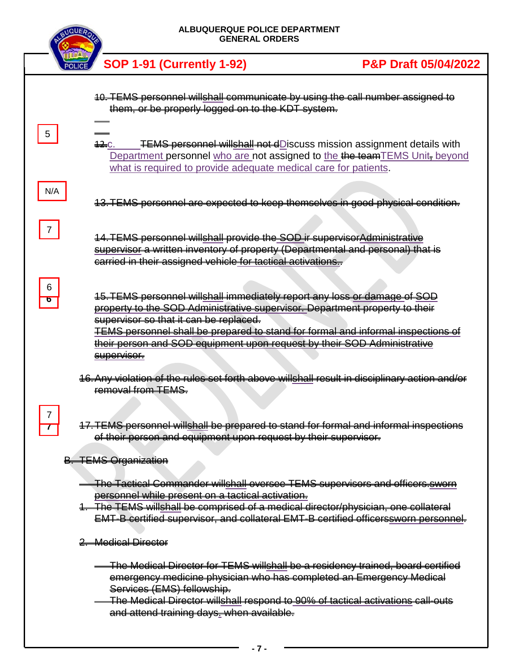|                              | <b>ALBUQUERQUE POLICE DEPARTMENT</b><br><b>GENERAL ORDERS</b>                                                                                                                                                                                                                                                                                                                           |                                 |  |  |
|------------------------------|-----------------------------------------------------------------------------------------------------------------------------------------------------------------------------------------------------------------------------------------------------------------------------------------------------------------------------------------------------------------------------------------|---------------------------------|--|--|
|                              | <b>SOP 1-91 (Currently 1-92)</b>                                                                                                                                                                                                                                                                                                                                                        | <b>P&amp;P Draft 05/04/2022</b> |  |  |
|                              | 10. TEMS personnel willshall communicate by using the call number assigned to<br>them, or be properly logged on to the KDT system.                                                                                                                                                                                                                                                      |                                 |  |  |
| 5 <sub>5</sub>               | <b>TEMS personnel willshall not dDiscuss mission assignment details with</b><br>$\bigoplus C$ .<br>Department personnel who are not assigned to the the team TEMS Unit, beyond<br>what is required to provide adequate medical care for patients.                                                                                                                                       |                                 |  |  |
| N/A                          | 13. TEMS personnel are expected to keep themselves in good physical condition.                                                                                                                                                                                                                                                                                                          |                                 |  |  |
| $\overline{7}$               | 14. TEMS personnel willshall provide the SOD ir supervisor Administrative<br>supervisor a written inventory of property (Departmental and personal) that is<br>carried in their assigned vehicle for tactical activations                                                                                                                                                               |                                 |  |  |
| 6                            | 15. TEMS personnel willshall immediately report any loss or damage of SOD<br>property to the SOD Administrative supervisor. Department property to their<br>supervisor so that it can be replaced.<br><b>TEMS personnel shall be prepared to stand for formal and informal inspections of</b><br>their person and SOD equipment upon request by their SOD Administrative<br>supervisor. |                                 |  |  |
|                              | 16. Any violation of the rules set forth above willshall result in disciplinary action and/or<br>removal from TEMS.                                                                                                                                                                                                                                                                     |                                 |  |  |
| $\overline{7}$<br>$\epsilon$ | 17. TEMS personnel willshall be prepared to stand for formal and informal inspections<br>of their person and equipment upon request by their supervisor.                                                                                                                                                                                                                                |                                 |  |  |
|                              | <b>B. TEMS Organization</b>                                                                                                                                                                                                                                                                                                                                                             |                                 |  |  |
|                              | The Tactical Commander willshall oversee TEMS supervisors and officers.sworn<br>personnel while present on a tactical activation.<br>1. The TEMS willshall be comprised of a medical director/physician, one collateral<br><b>EMT-B certified supervisor, and collateral EMT-B certified officerssworn personnel.</b>                                                                   |                                 |  |  |
| 2. Medical Director          |                                                                                                                                                                                                                                                                                                                                                                                         |                                 |  |  |
|                              | The Medical Director for TEMS willshall be a residency trained, board certified<br>emergency medicine physician who has completed an Emergency Medical<br>Services (EMS) fellowship.<br>-The Medical Director willshall respond to 90% of tactical activations call-outs<br>and attend training days- when available.                                                                   |                                 |  |  |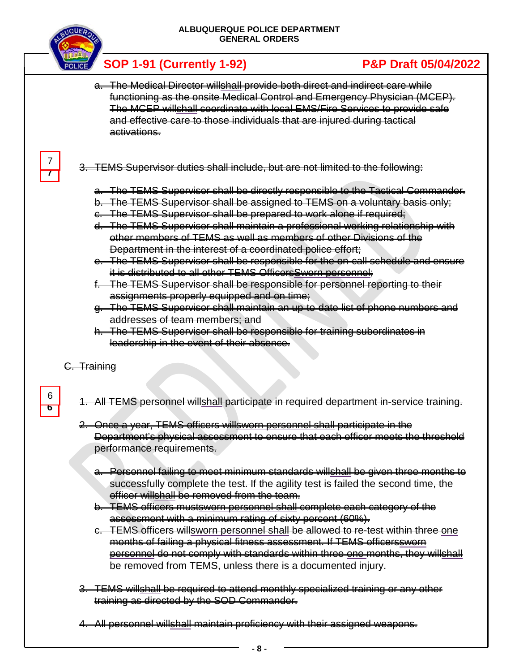

- a. The Medical Director willshall provide both direct and indirect care while functioning as the onsite Medical Control and Emergency Physician (MCEP). The MCEP willshall coordinate with local EMS/Fire Services to provide safe and effective care to those individuals that are injured during tactical activations.
- 3. TEMS Supervisor duties shall include, but are not limited to the following:
	- a. The TEMS Supervisor shall be directly responsible to the Tactical Commander.
	- b. The TEMS Supervisor shall be assigned to TEMS on a voluntary basis only;
	- c. The TEMS Supervisor shall be prepared to work alone if required;
	- d. The TEMS Supervisor shall maintain a professional working relationship with other members of TEMS as well as members of other Divisions of the Department in the interest of a coordinated police effort;
	- e. The TEMS Supervisor shall be responsible for the on-call schedule and ensure it is distributed to all other TEMS OfficersSworn personnel;
	- The TEMS Supervisor shall be responsible for personnel reporting to their assignments properly equipped and on time;
	- g. The TEMS Supervisor shall maintain an up-to-date list of phone numbers and addresses of team members; and
	- h. The TEMS Supervisor shall be responsible for training subordinates in leadership in the event of their absence.

G. Training

**6**

6

**7** 7

- 1. All TEMS personnel willshall participate in required department in-service training.
- 2. Once a year, TEMS officers willsworn personnel shall participate in the Department's physical assessment to ensure that each officer meets the threshold performance requirements.
	- a. Personnel failing to meet minimum standards willshall be given three months to successfully complete the test. If the agility test is failed the second time, the officer willshall be removed from the team.
	- b. TEMS officers mustsworn personnel shall complete each category of the assessment with a minimum rating of sixty percent (60%).
	- c. TEMS officers willsworn personnel shall be allowed to re-test within three one months of failing a physical fitness assessment. If TEMS officerssworn personnel do not comply with standards within three one months, they willshall be removed from TEMS, unless there is a documented injury.
- 3. TEMS willshall be required to attend monthly specialized training or any other training as directed by the SOD Commander.
- 4. All personnel willshall maintain proficiency with their assigned weapons.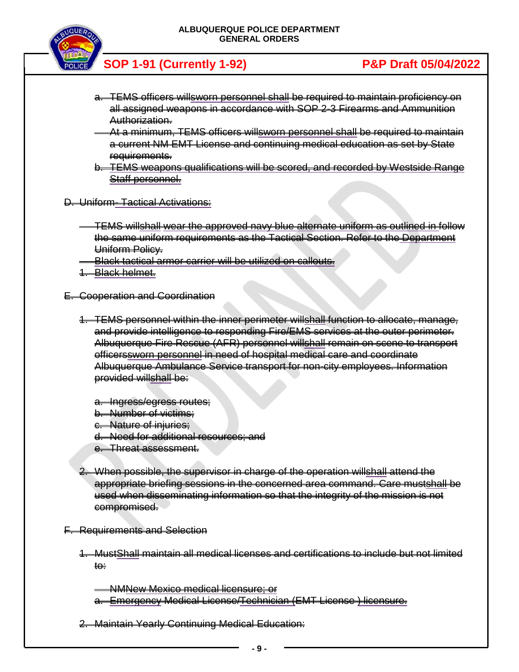

- a. TEMS officers willsworn personnel shall be required to maintain proficiency on all assigned weapons in accordance with SOP 2-3 Firearms and Ammunition Authorization.
- At a minimum, TEMS officers willsworn personnel shall be required to maintain a current NM EMT License and continuing medical education as set by State requirements.
- b. TEMS weapons qualifications will be scored, and recorded by Westside Range Staff personnel.
- D. Uniform- Tactical Activations:
	- TEMS willshall wear the approved navy blue alternate uniform as outlined in follow the same uniform requirements as the Tactical Section. Refer to the Department Uniform Policy.
	- Black tactical armor carrier will be utilized on callouts.
	- 1. Black helmet.
- E. Cooperation and Coordination
	- 1. TEMS personnel within the inner perimeter willshall function to allocate, manage, and provide intelligence to responding Fire/EMS services at the outer perimeter. Albuquerque Fire Rescue (AFR) personnel willshall remain on scene to transport officerssworn personnel in need of hospital medical care and coordinate Albuquerque Ambulance Service transport for non-city employees. Information provided willshall be:
		- a. Ingress/egress routes;
		- b. Number of victims;
		- c. Nature of injuries;
		- d. Need for additional resources; and
		- e. Threat assessment.
	- 2. When possible, the supervisor in charge of the operation willshall attend the appropriate briefing sessions in the concerned area command. Care mustshall be used when disseminating information so that the integrity of the mission is not compromised.
- F. Requirements and Selection
	- 1. MustShall maintain all medical licenses and certifications to include but not limited to:

NMNew Mexico medical licensure; or a. Emergency Medical License/Technician (EMT License ) licensure.

2. Maintain Yearly Continuing Medical Education: